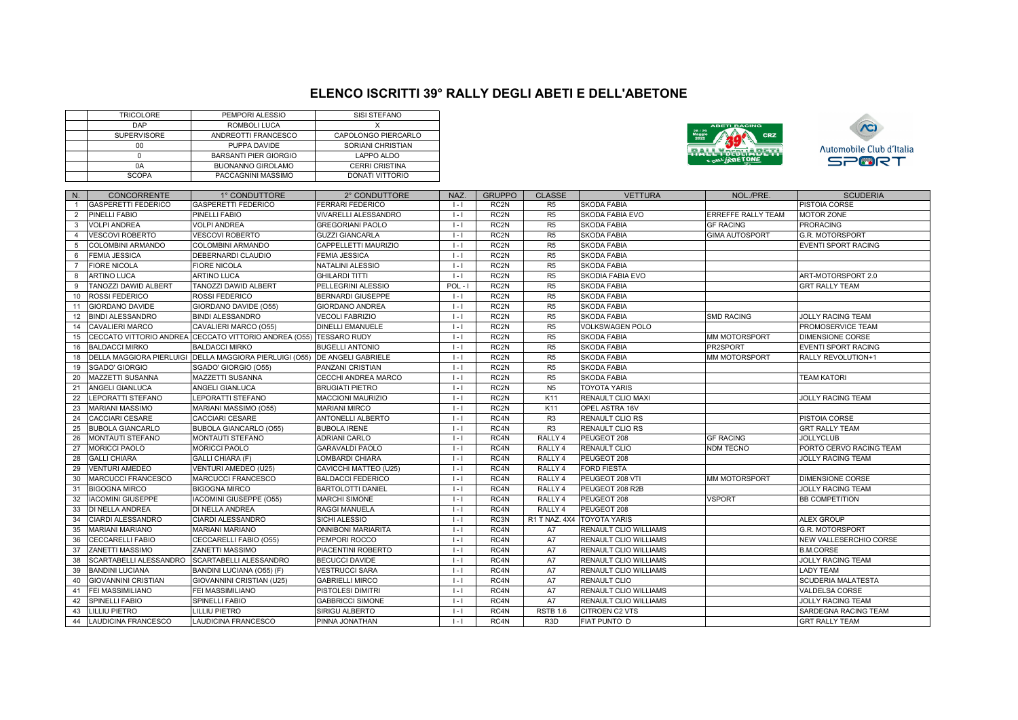## **ELENCO ISCRITTI 39° RALLY DEGLI ABETI E DELL'ABETONE**

| <b>TRICOLORE</b>   | PEMPORI ALESSIO              | SISI STEFANO          |
|--------------------|------------------------------|-----------------------|
| DAP                | ROMBOLI LUCA                 |                       |
| <b>SUPERVISORE</b> | ANDREOTTI FRANCESCO          | CAPOLONGO PIERCARLO   |
| 00                 | PUPPA DAVIDE                 | SORIANI CHRISTIAN     |
|                    | <b>BARSANTI PIER GIORGIO</b> | LAPPO ALDO            |
| 0A                 | BUONANNO GIROLAMO            | <b>CERRI CRISTINA</b> |
| <b>SCOPA</b>       | PACCAGNINI MASSIMO           | DONATI VITTORIO       |





| N.             | <b>CONCORRENTE</b>              | 1° CONDUTTORE                                                      | 2° CONDUTTORE             | NAZ.                | <b>GRUPPO</b>     | <b>CLASSE</b>              | <b>VETTURA</b>               | NOL./PRE.             | <b>SCUDERIA</b>            |
|----------------|---------------------------------|--------------------------------------------------------------------|---------------------------|---------------------|-------------------|----------------------------|------------------------------|-----------------------|----------------------------|
|                | <b>GASPERETTI FEDERICO</b>      | <b>GASPERETTI FEDERICO</b>                                         | <b>FERRARI FEDERICO</b>   | $1 - 1$             | RC <sub>2N</sub>  | R <sub>5</sub>             | <b>SKODA FABIA</b>           |                       | PISTOIA CORSE              |
| $\overline{2}$ | PINELLI FABIO                   | PINELLI FABIO                                                      | VIVARELLI ALESSANDRO      | $1 - 1$             | RC2N              | R <sub>5</sub>             | <b>SKODA FABIA EVO</b>       | ERREFFE RALLY TEAM    | <b>MOTOR ZONE</b>          |
| $\mathbf{3}$   | <b>VOLPI ANDREA</b>             | <b>VOLPI ANDREA</b>                                                | <b>GREGORIANI PAOLO</b>   | $1 - 1$             | RC2N              | R <sub>5</sub>             | <b>SKODA FABIA</b>           | <b>GF RACING</b>      | <b>PRORACING</b>           |
| $\overline{4}$ | <b>VESCOVI ROBERTO</b>          | <b>VESCOVI ROBERTO</b>                                             | <b>GUZZI GIANCARLA</b>    | $\vert \cdot \vert$ | RC <sub>2N</sub>  | R <sub>5</sub>             | <b>SKODA FABIA</b>           | <b>GIMA AUTOSPORT</b> | <b>G.R. MOTORSPORT</b>     |
| 5              | COLOMBINI ARMANDO               | COLOMBINI ARMANDO                                                  | CAPPELLETTI MAURIZIO      | $\vert \cdot \vert$ | RC2N              | R <sub>5</sub>             | <b>SKODA FABIA</b>           |                       | <b>EVENTI SPORT RACING</b> |
| 6              | <b>FEMIA JESSICA</b>            | DEBERNARDI CLAUDIO                                                 | <b>FEMIA JESSICA</b>      | $1 - 1$             | RC <sub>2N</sub>  | R <sub>5</sub>             | <b>SKODA FABIA</b>           |                       |                            |
| $\overline{7}$ | <b>FIORE NICOLA</b>             | <b>FIORE NICOLA</b>                                                | NATALINI ALESSIO          | $1 - 1$             | RC <sub>2N</sub>  | R <sub>5</sub>             | <b>SKODA FABIA</b>           |                       |                            |
| 8              | <b>ARTINO LUCA</b>              | <b>ARTINO LUCA</b>                                                 | <b>GHILARDI TITTI</b>     | $1 - 1$             | RC <sub>2N</sub>  | R <sub>5</sub>             | SKODIA FABIA EVO             |                       | ART-MOTORSPORT 2.0         |
| 9              | TANOZZI DAWID ALBERT            | <b>TANOZZI DAWID ALBERT</b>                                        | PELLEGRINI ALESSIO        | $POL - I$           | RC <sub>2N</sub>  | R <sub>5</sub>             | <b>SKODA FABIA</b>           |                       | <b>GRT RALLY TEAM</b>      |
| 10             | ROSSI FEDERICO                  | ROSSI FEDERICO                                                     | <b>BERNARDI GIUSEPPE</b>  | $1 - 1$             | RC2N              | R <sub>5</sub>             | <b>SKODA FABIA</b>           |                       |                            |
| 11             | <b>GIORDANO DAVIDE</b>          | GIORDANO DAVIDE (055)                                              | <b>GIORDANO ANDREA</b>    | $1 - 1$             | RC <sub>2N</sub>  | R <sub>5</sub>             | <b>SKODA FABIA</b>           |                       |                            |
| 12             | <b>BINDI ALESSANDRO</b>         | <b>BINDI ALESSANDRO</b>                                            | <b>VECOLI FABRIZIO</b>    | $\vert \cdot \vert$ | RC2N              | R <sub>5</sub>             | <b>SKODA FABIA</b>           | <b>SMD RACING</b>     | <b>JOLLY RACING TEAM</b>   |
| 14             | <b>CAVALIERI MARCO</b>          | CAVALIERI MARCO (O55)                                              | <b>DINELLI EMANUELE</b>   | $1 - 1$             | RC <sub>2N</sub>  | R <sub>5</sub>             | <b>VOLKSWAGEN POLO</b>       |                       | PROMOSERVICE TEAM          |
| 15             |                                 | CECCATO VITTORIO ANDREA CECCATO VITTORIO ANDREA (055) TESSARO RUDY |                           | $\vert \cdot \vert$ | RC <sub>2N</sub>  | R <sub>5</sub>             | <b>SKODA FABIA</b>           | <b>MM MOTORSPORT</b>  | <b>DIMENSIONE CORSE</b>    |
| 16             | <b>BALDACCI MIRKO</b>           | <b>BALDACCI MIRKO</b>                                              | <b>BUGELLI ANTONIO</b>    | $1 - 1$             | RC2N              | R <sub>5</sub>             | <b>SKODA FABIA</b>           | PR2SPORT              | <b>EVENTI SPORT RACING</b> |
| 18             | <b>DELLA MAGGIORA PIERLUIGI</b> | DELLA MAGGIORA PIERLUIGI (055) DE ANGELI GABRIELE                  |                           | $1 - 1$             | RC2N              | R <sub>5</sub>             | <b>SKODA FABIA</b>           | MM MOTORSPORT         | RALLY REVOLUTION+1         |
| 19             | <b>SGADO' GIORGIO</b>           | SGADO' GIORGIO (055)                                               | PANZANI CRISTIAN          | $1 - 1$             | RC2N              | R <sub>5</sub>             | <b>SKODA FABIA</b>           |                       |                            |
| 20             | <b>MAZZETTI SUSANNA</b>         | <b>MAZZETTI SUSANNA</b>                                            | CECCHI ANDREA MARCO       | $1 - 1$             | RC <sub>2N</sub>  | R <sub>5</sub>             | <b>SKODA FABIA</b>           |                       | <b>TEAM KATORI</b>         |
| 21             | <b>ANGELI GIANLUCA</b>          | <b>ANGELI GIANLUCA</b>                                             | <b>BRUGIATI PIETRO</b>    | $1 - 1$             | RC <sub>2N</sub>  | <b>N5</b>                  | <b>TOYOTA YARIS</b>          |                       |                            |
| 22             | <b>LEPORATTI STEFANO</b>        | <b>EPORATTI STEFANO</b>                                            | <b>MACCIONI MAURIZIO</b>  | $1 - 1$             | RC <sub>2N</sub>  | K11                        | RENAULT CLIO MAXI            |                       | <b>JOLLY RACING TEAM</b>   |
| 23             | <b>MARIANI MASSIMO</b>          | MARIANI MASSIMO (055)                                              | <b>MARIANI MIRCO</b>      | $1 - 1$             | RC <sub>2N</sub>  | K11                        | OPEL ASTRA 16V               |                       |                            |
| 24             | <b>CACCIARI CESARE</b>          | CACCIARI CESARE                                                    | ANTONELLI ALBERTO         | $1 - 1$             | RC4N              | R <sub>3</sub>             | RENAULT CLIO RS              |                       | PISTOIA CORSE              |
| 25             | <b>BUBOLA GIANCARLO</b>         | BUBOLA GIANCARLO (O55)                                             | <b>BUBOLA IRENE</b>       | $1 - 1$             | RC4N              | R <sub>3</sub>             | RENAULT CLIO RS              |                       | <b>GRT RALLY TEAM</b>      |
| 26             | <b>MONTAUTI STEFANO</b>         | <b>MONTAUTI STEFANO</b>                                            | <b>ADRIANI CARLO</b>      | $\vert \cdot \vert$ | RC4N              | RALLY <sub>4</sub>         | PEUGEOT 208                  | <b>GF RACING</b>      | <b>JOLLYCLUB</b>           |
| 27             | <b>MORICCI PAOLO</b>            | <b>MORICCI PAOLO</b>                                               | <b>GARAVALDI PAOLO</b>    | $1 - 1$             | RC4N              | RALLY 4                    | <b>RENAULT CLIO</b>          | <b>NDM TECNO</b>      | PORTO CERVO RACING TEAM    |
| 28             | <b>GALLI CHIARA</b>             | <b>GALLI CHIARA (F)</b>                                            | LOMBARDI CHIARA           | $1 - 1$             | RC4N              | RALLY <sub>4</sub>         | PEUGEOT 208                  |                       | <b>JOLLY RACING TEAM</b>   |
| 29             | <b>VENTURI AMEDEO</b>           | VENTURI AMEDEO (U25)                                               | CAVICCHI MATTEO (U25)     | $1 - 1$             | RC4N              | RALLY 4                    | <b>FORD FIESTA</b>           |                       |                            |
| 30             | <b>MARCUCCI FRANCESCO</b>       | <b>MARCUCCI FRANCESCO</b>                                          | <b>BALDACCI FEDERICO</b>  | $\vert \cdot \vert$ | RC4N              | RALLY <sub>4</sub>         | PEUGEOT 208 VTI              | MM MOTORSPORT         | <b>DIMENSIONE CORSE</b>    |
| 31             | <b>BIGOGNA MIRCO</b>            | <b>BIGOGNA MIRCO</b>                                               | <b>BARTOLOTTI DANIEL</b>  | $1 - 1$             | RC4N              | RALLY 4                    | PEUGEOT 208 R2B              |                       | <b>JOLLY RACING TEAM</b>   |
| 32             | <b>IACOMINI GIUSEPPE</b>        | <b>ACOMINI GIUSEPPE (O55)</b>                                      | <b>MARCHI SIMONE</b>      | $1 - 1$             | RC4N              | RALLY 4                    | PEUGEOT 208                  | <b>VSPORT</b>         | <b>BB COMPETITION</b>      |
| 33             | DI NELLA ANDREA                 | DI NELLA ANDREA                                                    | <b>RAGGI MANUELA</b>      | $1 - 1$             | RC4N              | RALLY <sub>4</sub>         | PEUGEOT 208                  |                       |                            |
| 34             | CIARDI ALESSANDRO               | CIARDI ALESSANDRO                                                  | SICHI ALESSIO             | $1 - 1$             | RC3N              | R1 T NAZ. 4X4 TOYOTA YARIS |                              |                       | <b>ALEX GROUP</b>          |
| 35             | <b>MARIANI MARIANO</b>          | <b>MARIANI MARIANO</b>                                             | <b>ONNIBONI MARIARITA</b> | $1 - 1$             | RC4N              | A7                         | RENAULT CLIO WILLIAMS        |                       | <b>G.R. MOTORSPORT</b>     |
| 36             | <b>CECCARELLI FABIO</b>         | CECCARELLI FABIO (O55)                                             | PEMPORI ROCCO             | $1 - 1$             | RC4N              | <b>A7</b>                  | RENAULT CLIO WILLIAMS        |                       | NEW VALLESERCHIO CORSE     |
| 37             | <b>ZANETTI MASSIMO</b>          | <b>ZANETTI MASSIMO</b>                                             | PIACENTINI ROBERTO        | $\vert \cdot \vert$ | RC <sub>4</sub> N | A7                         | <b>RENAULT CLIO WILLIAMS</b> |                       | <b>B.M.CORSE</b>           |
| 38             | SCARTABELLI ALESSANDRO          | SCARTABELLI ALESSANDRO                                             | <b>BECUCCI DAVIDE</b>     | $1 - 1$             | RC4N              | A7                         | RENAULT CLIO WILLIAMS        |                       | <b>JOLLY RACING TEAM</b>   |
| 39             | <b>BANDINI LUCIANA</b>          | BANDINI LUCIANA (O55) (F)                                          | <b>VESTRUCCI SARA</b>     | $1 - 1$             | RC4N              | A7                         | RENAULT CLIO WILLIAMS        |                       | <b>LADY TEAM</b>           |
| 40             | <b>GIOVANNINI CRISTIAN</b>      | GIOVANNINI CRISTIAN (U25)                                          | <b>GABRIELLI MIRCO</b>    | $1 - 1$             | RC4N              | A7                         | RENAULT CLIO                 |                       | <b>SCUDERIA MALATESTA</b>  |
| 41             | <b>FEI MASSIMILIANO</b>         | FEI MASSIMILIANO                                                   | <b>PISTOLESI DIMITRI</b>  | $1 - 1$             | RC4N              | A7                         | RENAULT CLIO WILLIAMS        |                       | <b>VALDELSA CORSE</b>      |
| 42             | <b>SPINELLI FABIO</b>           | SPINELLI FABIO                                                     | <b>GABBRICCI SIMONE</b>   | $1 - 1$             | RC4N              | <b>A7</b>                  | RENAULT CLIO WILLIAMS        |                       | <b>JOLLY RACING TEAM</b>   |
| 43             | <b>LILLIU PIETRO</b>            | LILLIU PIETRO                                                      | SIRIGU ALBERTO            | $1 - 1$             | RC4N              | RSTB 1.6                   | <b>CITROEN C2 VTS</b>        |                       | SARDEGNA RACING TEAM       |
| 44             | LAUDICINA FRANCESCO             | LAUDICINA FRANCESCO                                                | PINNA JONATHAN            | $1 - 1$             | RC <sub>4</sub> N | R <sub>3</sub> D           | <b>FIAT PUNTO D</b>          |                       | <b>GRT RALLY TEAM</b>      |
|                |                                 |                                                                    |                           |                     |                   |                            |                              |                       |                            |